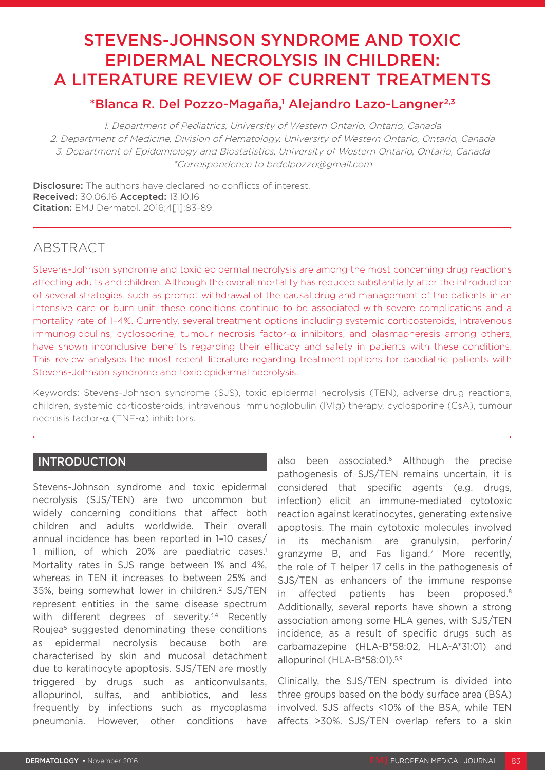# STEVENS-JOHNSON SYNDROME AND TOXIC EPIDERMAL NECROLYSIS IN CHILDREN: A LITERATURE REVIEW OF CURRENT TREATMENTS

# \*Blanca R. Del Pozzo-Magaña,<sup>1</sup> Alejandro Lazo-Langner<sup>2,3</sup>

1. Department of Pediatrics, University of Western Ontario, Ontario, Canada 2. Department of Medicine, Division of Hematology, University of Western Ontario, Ontario, Canada 3. Department of Epidemiology and Biostatistics, University of Western Ontario, Ontario, Canada \*Correspondence to brdelpozzo@gmail.com

**Disclosure:** The authors have declared no conflicts of interest. Received: 30.06.16 Accepted: 13.10.16 Citation: EMJ Dermatol. 2016;4[1]:83-89.

# ABSTRACT

Stevens-Johnson syndrome and toxic epidermal necrolysis are among the most concerning drug reactions affecting adults and children. Although the overall mortality has reduced substantially after the introduction of several strategies, such as prompt withdrawal of the causal drug and management of the patients in an intensive care or burn unit, these conditions continue to be associated with severe complications and a mortality rate of 1–4%. Currently, several treatment options including systemic corticosteroids, intravenous immunoglobulins, cyclosporine, tumour necrosis factor-α inhibitors, and plasmapheresis among others, have shown inconclusive benefits regarding their efficacy and safety in patients with these conditions. This review analyses the most recent literature regarding treatment options for paediatric patients with Stevens-Johnson syndrome and toxic epidermal necrolysis.

Keywords: Stevens-Johnson syndrome (SJS), toxic epidermal necrolysis (TEN), adverse drug reactions, children, systemic corticosteroids, intravenous immunoglobulin (IVIg) therapy, cyclosporine (CsA), tumour necrosis factor-α (TNF-α) inhibitors.

## INTRODUCTION

Stevens-Johnson syndrome and toxic epidermal necrolysis (SJS/TEN) are two uncommon but widely concerning conditions that affect both children and adults worldwide. Their overall annual incidence has been reported in 1–10 cases/ 1 million, of which 20% are paediatric cases.<sup>1</sup> Mortality rates in SJS range between 1% and 4%, whereas in TEN it increases to between 25% and 35%, being somewhat lower in children.2 SJS/TEN represent entities in the same disease spectrum with different degrees of severity.<sup>3,4</sup> Recently Roujea5 suggested denominating these conditions as epidermal necrolysis because both are characterised by skin and mucosal detachment due to keratinocyte apoptosis. SJS/TEN are mostly triggered by drugs such as anticonvulsants, allopurinol, sulfas, and antibiotics, and less frequently by infections such as mycoplasma pneumonia. However, other conditions have

also been associated.<sup>6</sup> Although the precise pathogenesis of SJS/TEN remains uncertain, it is considered that specific agents (e.g. drugs, infection) elicit an immune-mediated cytotoxic reaction against keratinocytes, generating extensive apoptosis. The main cytotoxic molecules involved in its mechanism are granulysin, perforin/ granzyme B, and Fas ligand.7 More recently, the role of T helper 17 cells in the pathogenesis of SJS/TEN as enhancers of the immune response in affected patients has been proposed.8 Additionally, several reports have shown a strong association among some HLA genes, with SJS/TEN incidence, as a result of specific drugs such as carbamazepine (HLA-B\*58:02, HLA-A\*31:01) and allopurinol (HLA-B\*58:01).5,9

Clinically, the SJS/TEN spectrum is divided into three groups based on the body surface area (BSA) involved. SJS affects <10% of the BSA, while TEN affects >30%. SJS/TEN overlap refers to a skin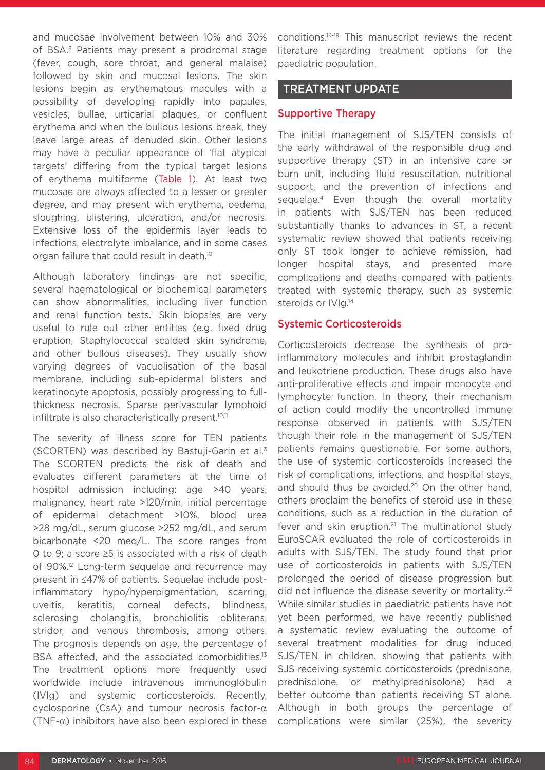and mucosae involvement between 10% and 30% of BSA.<sup>8</sup> Patients may present a prodromal stage (fever, cough, sore throat, and general malaise) followed by skin and mucosal lesions. The skin lesions begin as erythematous macules with a possibility of developing rapidly into papules, vesicles, bullae, urticarial plaques, or confluent erythema and when the bullous lesions break, they leave large areas of denuded skin. Other lesions may have a peculiar appearance of 'flat atypical targets' differing from the typical target lesions of erythema multiforme (Table 1). At least two mucosae are always affected to a lesser or greater degree, and may present with erythema, oedema, sloughing, blistering, ulceration, and/or necrosis. Extensive loss of the epidermis layer leads to infections, electrolyte imbalance, and in some cases organ failure that could result in death.<sup>10</sup>

Although laboratory findings are not specific, several haematological or biochemical parameters can show abnormalities, including liver function and renal function tests.<sup>1</sup> Skin biopsies are very useful to rule out other entities (e.g. fixed drug eruption, Staphylococcal scalded skin syndrome, and other bullous diseases). They usually show varying degrees of vacuolisation of the basal membrane, including sub-epidermal blisters and keratinocyte apoptosis, possibly progressing to fullthickness necrosis. Sparse perivascular lymphoid infiltrate is also characteristically present.<sup>10,11</sup>

The severity of illness score for TEN patients (SCORTEN) was described by Bastuji-Garin et al.3 The SCORTEN predicts the risk of death and evaluates different parameters at the time of hospital admission including: age >40 years, malignancy, heart rate >120/min, initial percentage of epidermal detachment >10%, blood urea >28 mg/dL, serum glucose >252 mg/dL, and serum bicarbonate <20 meq/L. The score ranges from 0 to 9; a score ≥5 is associated with a risk of death of 90%.12 Long-term sequelae and recurrence may present in ≤47% of patients. Sequelae include postinflammatory hypo/hyperpigmentation, scarring, uveitis, keratitis, corneal defects, blindness, sclerosing cholangitis, bronchiolitis obliterans, stridor, and venous thrombosis, among others. The prognosis depends on age, the percentage of BSA affected, and the associated comorbidities.<sup>13</sup> The treatment options more frequently used worldwide include intravenous immunoglobulin (IVIg) and systemic corticosteroids. Recently, cyclosporine (CsA) and tumour necrosis factor-α (TNF- $\alpha$ ) inhibitors have also been explored in these

conditions.14-19 This manuscript reviews the recent literature regarding treatment options for the paediatric population.

## TREATMENT UPDATE

#### Supportive Therapy

The initial management of SJS/TEN consists of the early withdrawal of the responsible drug and supportive therapy (ST) in an intensive care or burn unit, including fluid resuscitation, nutritional support, and the prevention of infections and sequelae.<sup>4</sup> Even though the overall mortality in patients with SJS/TEN has been reduced substantially thanks to advances in ST, a recent systematic review showed that patients receiving only ST took longer to achieve remission, had longer hospital stays, and presented more complications and deaths compared with patients treated with systemic therapy, such as systemic steroids or IVIg.<sup>14</sup>

#### Systemic Corticosteroids

Corticosteroids decrease the synthesis of proinflammatory molecules and inhibit prostaglandin and leukotriene production. These drugs also have anti-proliferative effects and impair monocyte and lymphocyte function. In theory, their mechanism of action could modify the uncontrolled immune response observed in patients with SJS/TEN though their role in the management of SJS/TEN patients remains questionable. For some authors, the use of systemic corticosteroids increased the risk of complications, infections, and hospital stays, and should thus be avoided.<sup>20</sup> On the other hand, others proclaim the benefits of steroid use in these conditions, such as a reduction in the duration of fever and skin eruption. $21$  The multinational study EuroSCAR evaluated the role of corticosteroids in adults with SJS/TEN. The study found that prior use of corticosteroids in patients with SJS/TEN prolonged the period of disease progression but did not influence the disease severity or mortality.<sup>22</sup> While similar studies in paediatric patients have not yet been performed, we have recently published a systematic review evaluating the outcome of several treatment modalities for drug induced SJS/TEN in children, showing that patients with SJS receiving systemic corticosteroids (prednisone, prednisolone, or methylprednisolone) had a better outcome than patients receiving ST alone. Although in both groups the percentage of complications were similar (25%), the severity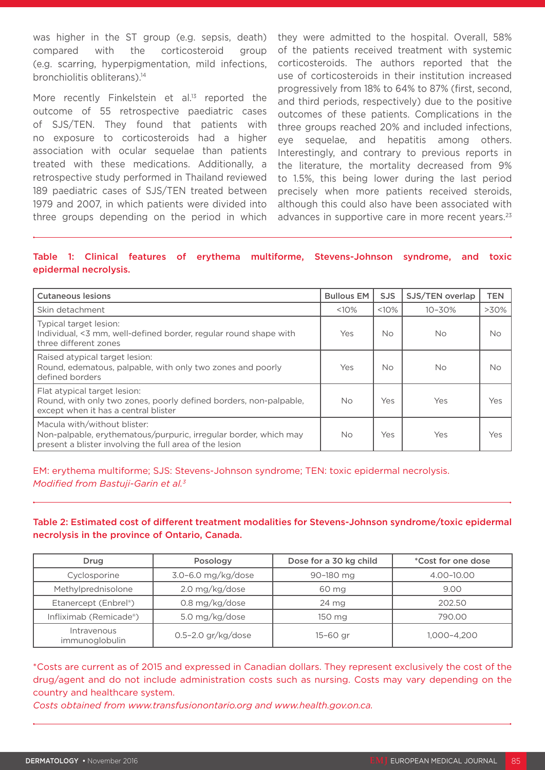was higher in the ST group (e.g. sepsis, death) compared with the corticosteroid group (e.g. scarring, hyperpigmentation, mild infections, bronchiolitis obliterans).<sup>14</sup>

More recently Finkelstein et al.<sup>13</sup> reported the outcome of 55 retrospective paediatric cases of SJS/TEN. They found that patients with no exposure to corticosteroids had a higher association with ocular sequelae than patients treated with these medications. Additionally, a retrospective study performed in Thailand reviewed 189 paediatric cases of SJS/TEN treated between 1979 and 2007, in which patients were divided into three groups depending on the period in which

they were admitted to the hospital. Overall, 58% of the patients received treatment with systemic corticosteroids. The authors reported that the use of corticosteroids in their institution increased progressively from 18% to 64% to 87% (first, second, and third periods, respectively) due to the positive outcomes of these patients. Complications in the three groups reached 20% and included infections, eye sequelae, and hepatitis among others. Interestingly, and contrary to previous reports in the literature, the mortality decreased from 9% to 1.5%, this being lower during the last period precisely when more patients received steroids, although this could also have been associated with advances in supportive care in more recent years.<sup>23</sup>

#### Table 1: Clinical features of erythema multiforme, Stevens-Johnson syndrome, and toxic epidermal necrolysis.

| <b>Cutaneous lesions</b>                                                                                                                                    | <b>Bullous EM</b> | <b>SJS</b> | SJS/TEN overlap | <b>TEN</b> |
|-------------------------------------------------------------------------------------------------------------------------------------------------------------|-------------------|------------|-----------------|------------|
| Skin detachment                                                                                                                                             | <10%              | <10%       | $10 - 30%$      | $>30\%$    |
| Typical target lesion:<br>Individual, <3 mm, well-defined border, regular round shape with<br>three different zones                                         | Yes               | No.        | No.             | No         |
| Raised atypical target lesion:<br>Round, edematous, palpable, with only two zones and poorly<br>defined borders                                             | Yes               | No.        | No.             | No         |
| Flat atypical target lesion:<br>Round, with only two zones, poorly defined borders, non-palpable,<br>except when it has a central blister                   | <b>No</b>         | Yes        | Yes             | Yes        |
| Macula with/without blister:<br>Non-palpable, erythematous/purpuric, irregular border, which may<br>present a blister involving the full area of the lesion | <b>No</b>         | Yes        | Yes             | Yes        |

EM: erythema multiforme; SJS: Stevens-Johnson syndrome; TEN: toxic epidermal necrolysis. *Modified from Bastuji-Garin et al.3*

#### Table 2: Estimated cost of different treatment modalities for Stevens-Johnson syndrome/toxic epidermal necrolysis in the province of Ontario, Canada.

| Drug                          | Posology               | Dose for a 30 kg child | <i>*Cost for one dose</i> |
|-------------------------------|------------------------|------------------------|---------------------------|
| Cyclosporine                  | 3.0-6.0 mg/kg/dose     | 90-180 mg              | 4.00-10.00                |
| Methylprednisolone            | 2.0 mg/kg/dose         | 60 mg                  | 9.00                      |
| Etanercept (Enbrel®)          | 0.8 mg/kg/dose         | 24 mg                  | 202.50                    |
| Infliximab (Remicade®)        | 5.0 mg/kg/dose         | 150 mg                 | 790.00                    |
| Intravenous<br>immunoglobulin | $0.5 - 2.0$ gr/kg/dose | $15-60$ gr             | 1,000-4,200               |

\*Costs are current as of 2015 and expressed in Canadian dollars. They represent exclusively the cost of the drug/agent and do not include administration costs such as nursing. Costs may vary depending on the country and healthcare system.

*Costs obtained from www.transfusionontario.org and www.health.gov.on.ca.*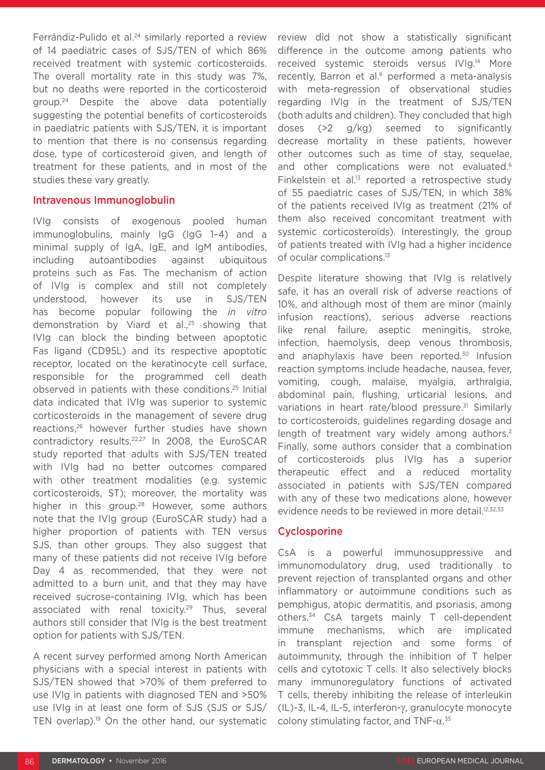Ferrándiz-Pulido et al.<sup>24</sup> similarly reported a review of 14 paediatric cases of SJS/TEN of which 86% received treatment with systemic corticosteroids. The overall mortality rate in this study was 7%, but no deaths were reported in the corticosteroid group.24 Despite the above data potentially suggesting the potential benefits of corticosteroids in paediatric patients with SJS/TEN, it is important to mention that there is no consensus regarding dose, type of corticosteroid given, and length of treatment for these patients, and in most of the studies these vary greatly.

#### Intravenous Immunoglobulin

IVIg consists of exogenous pooled human immunoglobulins, mainly IgG (IgG 1–4) and a minimal supply of IgA, IgE, and IgM antibodies, including autoantibodies against ubiquitous proteins such as Fas. The mechanism of action of IVIg is complex and still not completely understood, however its use in SJS/TEN has become popular following the *in vitro* demonstration by Viard et al.,<sup>25</sup> showing that IVIg can block the binding between apoptotic Fas ligand (CD95L) and its respective apoptotic receptor, located on the keratinocyte cell surface, responsible for the programmed cell death observed in patients with these conditions.25 Initial data indicated that IVIg was superior to systemic corticosteroids in the management of severe drug reactions,26 however further studies have shown contradictory results.22,27 In 2008, the EuroSCAR study reported that adults with SJS/TEN treated with IVIg had no better outcomes compared with other treatment modalities (e.g. systemic corticosteroids, ST); moreover, the mortality was higher in this group.<sup>28</sup> However, some authors note that the IVIg group (EuroSCAR study) had a higher proportion of patients with TEN versus SJS, than other groups. They also suggest that many of these patients did not receive IVIg before Day 4 as recommended, that they were not admitted to a burn unit, and that they may have received sucrose-containing IVIg, which has been associated with renal toxicity.<sup>29</sup> Thus, several authors still consider that IVIg is the best treatment option for patients with SJS/TEN.

A recent survey performed among North American physicians with a special interest in patients with SJS/TEN showed that >70% of them preferred to use IVIg in patients with diagnosed TEN and >50% use IVIg in at least one form of SJS (SJS or SJS/ TEN overlap).<sup>19</sup> On the other hand, our systematic review did not show a statistically significant difference in the outcome among patients who received systemic steroids versus IVIg.14 More recently. Barron et al.<sup>6</sup> performed a meta-analysis with meta-regression of observational studies regarding IVIg in the treatment of SJS/TEN (both adults and children). They concluded that high doses (>2 g/kg) seemed to significantly decrease mortality in these patients, however other outcomes such as time of stay, sequelae, and other complications were not evaluated.<sup>6</sup> Finkelstein et al. $13$  reported a retrospective study of 55 paediatric cases of SJS/TEN, in which 38% of the patients received IVIg as treatment (21% of them also received concomitant treatment with systemic corticosteroids). Interestingly, the group of patients treated with IVIg had a higher incidence of ocular complications.<sup>13</sup>

Despite literature showing that IVIg is relatively safe, it has an overall risk of adverse reactions of 10%, and although most of them are minor (mainly infusion reactions), serious adverse reactions like renal failure, aseptic meningitis, stroke, infection, haemolysis, deep venous thrombosis, and anaphylaxis have been reported.<sup>30</sup> Infusion reaction symptoms include headache, nausea, fever, vomiting, cough, malaise, myalgia, arthralgia, abdominal pain, flushing, urticarial lesions, and variations in heart rate/blood pressure.<sup>31</sup> Similarly to corticosteroids, guidelines regarding dosage and length of treatment vary widely among authors.<sup>2</sup> Finally, some authors consider that a combination of corticosteroids plus IVIg has a superior therapeutic effect and a reduced mortality associated in patients with SJS/TEN compared with any of these two medications alone, however evidence needs to be reviewed in more detail.<sup>12,32,33</sup>

## **Cyclosporine**

CsA is a powerful immunosuppressive and immunomodulatory drug, used traditionally to prevent rejection of transplanted organs and other inflammatory or autoimmune conditions such as pemphigus, atopic dermatitis, and psoriasis, among others.34 CsA targets mainly T cell-dependent immune mechanisms, which are implicated in transplant rejection and some forms of autoimmunity, through the inhibition of T helper cells and cytotoxic T cells. It also selectively blocks many immunoregulatory functions of activated T cells, thereby inhibiting the release of interleukin (IL)-3, IL-4, IL-5, interferon-γ, granulocyte monocyte colony stimulating factor, and TNF-α. 35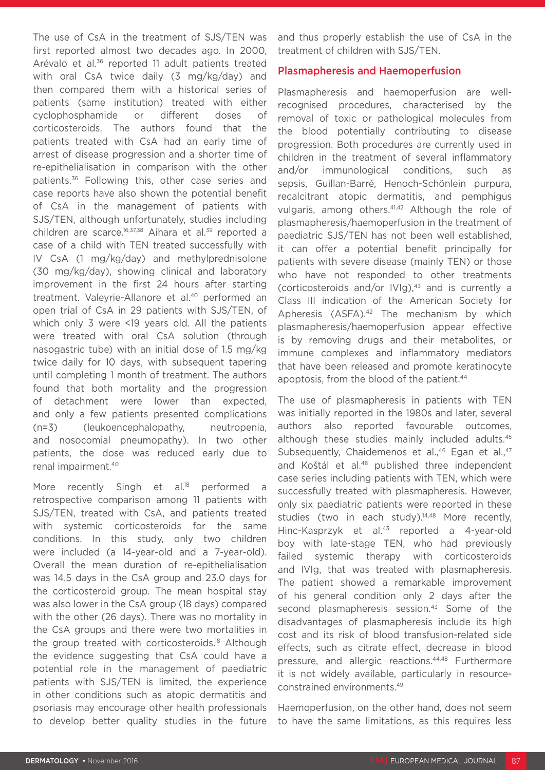The use of CsA in the treatment of SJS/TEN was first reported almost two decades ago. In 2000, Arévalo et al.36 reported 11 adult patients treated with oral CsA twice daily (3 mg/kg/day) and then compared them with a historical series of patients (same institution) treated with either cyclophosphamide or different doses of corticosteroids. The authors found that the patients treated with CsA had an early time of arrest of disease progression and a shorter time of re-epithelialisation in comparison with the other patients.<sup>36</sup> Following this, other case series and case reports have also shown the potential benefit of CsA in the management of patients with SJS/TEN, although unfortunately, studies including children are scarce.<sup>16,37,38</sup> Aihara et al.<sup>39</sup> reported a case of a child with TEN treated successfully with IV CsA (1 mg/kg/day) and methylprednisolone (30 mg/kg/day), showing clinical and laboratory improvement in the first 24 hours after starting treatment. Valeyrie-Allanore et al.<sup>40</sup> performed an open trial of CsA in 29 patients with SJS/TEN, of which only 3 were <19 years old. All the patients were treated with oral CsA solution (through nasogastric tube) with an initial dose of 1.5 mg/kg twice daily for 10 days, with subsequent tapering until completing 1 month of treatment. The authors found that both mortality and the progression of detachment were lower than expected, and only a few patients presented complications (n=3) (leukoencephalopathy, neutropenia, and nosocomial pneumopathy). In two other patients, the dose was reduced early due to renal impairment.40

More recently Singh et al.<sup>18</sup> performed a retrospective comparison among 11 patients with SJS/TEN, treated with CsA, and patients treated with systemic corticosteroids for the same conditions. In this study, only two children were included (a 14-year-old and a 7-year-old). Overall the mean duration of re-epithelialisation was 14.5 days in the CsA group and 23.0 days for the corticosteroid group. The mean hospital stay was also lower in the CsA group (18 days) compared with the other (26 days). There was no mortality in the CsA groups and there were two mortalities in the group treated with corticosteroids.<sup>18</sup> Although the evidence suggesting that CsA could have a potential role in the management of paediatric patients with SJS/TEN is limited, the experience in other conditions such as atopic dermatitis and psoriasis may encourage other health professionals to develop better quality studies in the future

and thus properly establish the use of CsA in the treatment of children with SJS/TEN.

#### Plasmapheresis and Haemoperfusion

Plasmapheresis and haemoperfusion are wellrecognised procedures, characterised by the removal of toxic or pathological molecules from the blood potentially contributing to disease progression. Both procedures are currently used in children in the treatment of several inflammatory and/or immunological conditions, such as sepsis, Guillan-Barré, Henoch-Schönlein purpura, recalcitrant atopic dermatitis, and pemphigus vulgaris, among others.<sup>41,42</sup> Although the role of plasmapheresis/haemoperfusion in the treatment of paediatric SJS/TEN has not been well established, it can offer a potential benefit principally for patients with severe disease (mainly TEN) or those who have not responded to other treatments (corticosteroids and/or IVIg), $43$  and is currently a Class III indication of the American Society for Apheresis (ASFA).<sup>42</sup> The mechanism by which plasmapheresis/haemoperfusion appear effective is by removing drugs and their metabolites, or immune complexes and inflammatory mediators that have been released and promote keratinocyte apoptosis, from the blood of the patient.<sup>44</sup>

The use of plasmapheresis in patients with TEN was initially reported in the 1980s and later, several authors also reported favourable outcomes, although these studies mainly included adults.<sup>45</sup> Subsequently, Chaidemenos et al.,<sup>46</sup> Egan et al.,<sup>47</sup> and Koštál et al.<sup>48</sup> published three independent case series including patients with TEN, which were successfully treated with plasmapheresis. However, only six paediatric patients were reported in these studies (two in each study).<sup>14,48</sup> More recently, Hinc-Kasprzyk et al.<sup>43</sup> reported a 4-year-old boy with late-stage TEN, who had previously failed systemic therapy with corticosteroids and IVIg, that was treated with plasmapheresis. The patient showed a remarkable improvement of his general condition only 2 days after the second plasmapheresis session.<sup>43</sup> Some of the disadvantages of plasmapheresis include its high cost and its risk of blood transfusion-related side effects, such as citrate effect, decrease in blood pressure, and allergic reactions.44,48 Furthermore it is not widely available, particularly in resourceconstrained environments.49

Haemoperfusion, on the other hand, does not seem to have the same limitations, as this requires less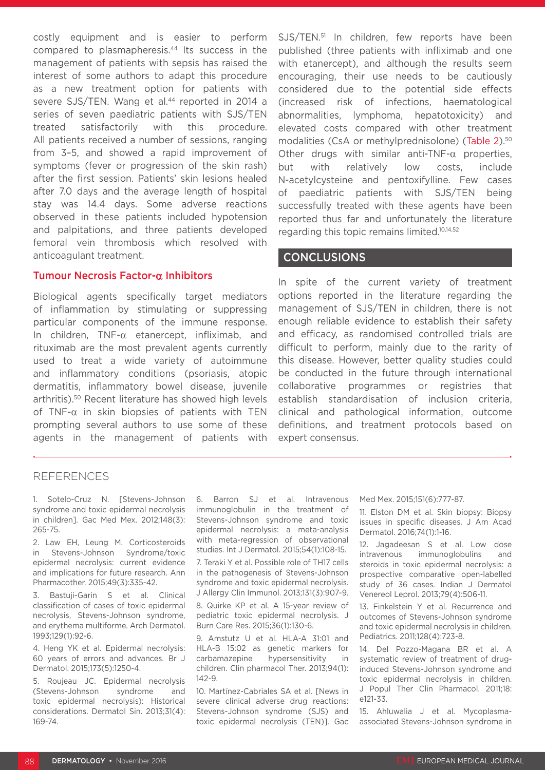costly equipment and is easier to perform compared to plasmapheresis.<sup>44</sup> Its success in the management of patients with sepsis has raised the interest of some authors to adapt this procedure as a new treatment option for patients with severe SJS/TEN. Wang et al.<sup>44</sup> reported in 2014 a series of seven paediatric patients with SJS/TEN treated satisfactorily with this procedure. All patients received a number of sessions, ranging from 3–5, and showed a rapid improvement of symptoms (fever or progression of the skin rash) after the first session. Patients' skin lesions healed after 7.0 days and the average length of hospital stay was 14.4 days. Some adverse reactions observed in these patients included hypotension and palpitations, and three patients developed femoral vein thrombosis which resolved with anticoagulant treatment.

#### Tumour Necrosis Factor-α Inhibitors

Biological agents specifically target mediators of inflammation by stimulating or suppressing particular components of the immune response. In children, TNF-α etanercept, infliximab, and rituximab are the most prevalent agents currently used to treat a wide variety of autoimmune and inflammatory conditions (psoriasis, atopic dermatitis, inflammatory bowel disease, juvenile arthritis).50 Recent literature has showed high levels of TNF- $\alpha$  in skin biopsies of patients with TEN prompting several authors to use some of these agents in the management of patients with SJS/TEN.<sup>51</sup> In children, few reports have been published (three patients with infliximab and one with etanercept), and although the results seem encouraging, their use needs to be cautiously considered due to the potential side effects (increased risk of infections, haematological abnormalities, lymphoma, hepatotoxicity) and elevated costs compared with other treatment modalities (CsA or methylprednisolone) (Table 2).<sup>50</sup> Other drugs with similar anti-TNF- $\alpha$  properties, but with relatively low costs, include N-acetylcysteine and pentoxifylline. Few cases of paediatric patients with SJS/TEN being successfully treated with these agents have been reported thus far and unfortunately the literature regarding this topic remains limited.10,14,52

#### **CONCLUSIONS**

In spite of the current variety of treatment options reported in the literature regarding the management of SJS/TEN in children, there is not enough reliable evidence to establish their safety and efficacy, as randomised controlled trials are difficult to perform, mainly due to the rarity of this disease. However, better quality studies could be conducted in the future through international collaborative programmes or registries that establish standardisation of inclusion criteria, clinical and pathological information, outcome definitions, and treatment protocols based on expert consensus.

## REFERENCES

1. Sotelo-Cruz N. [Stevens-Johnson syndrome and toxic epidermal necrolysis in children]. Gac Med Mex. 2012;148(3): 265-75.

2. Law EH, Leung M. Corticosteroids in Stevens-Johnson Syndrome/toxic epidermal necrolysis: current evidence and implications for future research. Ann Pharmacother. 2015;49(3):335-42.

3. Bastuji-Garin S et al. Clinical classification of cases of toxic epidermal necrolysis, Stevens-Johnson syndrome, and erythema multiforme. Arch Dermatol. 1993;129(1):92-6.

4. Heng YK et al. Epidermal necrolysis: 60 years of errors and advances. Br J Dermatol. 2015;173(5):1250-4.

5. Roujeau JC. Epidermal necrolysis (Stevens-Johnson syndrome and toxic epidermal necrolysis): Historical considerations. Dermatol Sin. 2013;31(4): 169-74.

6. Barron SJ et al. Intravenous immunoglobulin in the treatment of Stevens-Johnson syndrome and toxic epidermal necrolysis: a meta-analysis with meta-regression of observational studies. Int J Dermatol. 2015;54(1):108-15.

7. Teraki Y et al. Possible role of TH17 cells in the pathogenesis of Stevens-Johnson syndrome and toxic epidermal necrolysis. J Allergy Clin Immunol. 2013;131(3):907-9.

8. Quirke KP et al. A 15-year review of pediatric toxic epidermal necrolysis. J Burn Care Res. 2015;36(1):130-6.

9. Amstutz U et al. HLA-A 31:01 and HLA-B 15:02 as genetic markers for carbamazepine hypersensitivity in children. Clin pharmacol Ther. 2013;94(1):  $142 - 9$ 

10. Martínez-Cabriales SA et al. [News in severe clinical adverse drug reactions: Stevens-Johnson syndrome (SJS) and toxic epidermal necrolysis (TEN)]. Gac Med Mex. 2015;151(6):777-87.

11. Elston DM et al. Skin biopsy: Biopsy issues in specific diseases. J Am Acad Dermatol. 2016;74(1):1-16.

12. Jagadeesan S et al. Low dose intravenous immunoglobulins and steroids in toxic epidermal necrolysis: a prospective comparative open-labelled study of 36 cases. Indian J Dermatol Venereol Leprol. 2013;79(4):506-11.

13. Finkelstein Y et al. Recurrence and outcomes of Stevens-Johnson syndrome and toxic epidermal necrolysis in children. Pediatrics. 2011;128(4):723-8.

14. Del Pozzo-Magana BR et al. A systematic review of treatment of druginduced Stevens-Johnson syndrome and toxic epidermal necrolysis in children. J Popul Ther Clin Pharmacol. 2011;18: e121-33.

15. Ahluwalia J et al. Mycoplasmaassociated Stevens-Johnson syndrome in